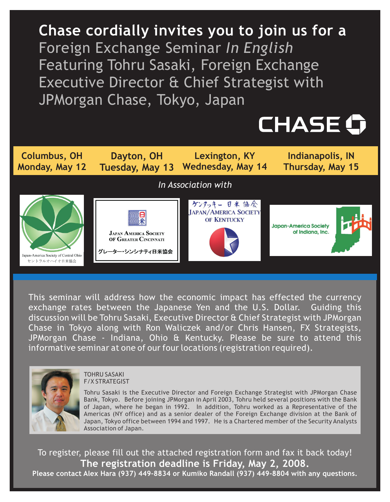**Chase cordially invites you to join us for a** Foreign Exchange Seminar *In English* Featuring Tohru Sasaki, Foreign Exchange Executive Director & Chief Strategist with JPMorgan Chase, Tokyo, Japan





This seminar will address how the economic impact has effected the currency exchange rates between the Japanese Yen and the U.S. Dollar. Guiding this discussion will be Tohru Sasaki, Executive Director & Chief Strategist with JPMorgan Chase in Tokyo along with Ron Waliczek and/or Chris Hansen, FX Strategists, JPMorgan Chase - Indiana, Ohio & Kentucky. Please be sure to attend this informative seminar at one of our four locations (registration required).



#### TOHRU SASAKI F/X STRATEGIST

Tohru Sasaki is the Executive Director and Foreign Exchange Strategist with JPMorgan Chase Bank, Tokyo. Before joining JPMorgan in April 2003, Tohru held several positions with the Bank of Japan, where he began in 1992. In addition, Tohru worked as a Representative of the Americas (NY office) and as a senior dealer of the Foreign Exchange division at the Bank of Japan, Tokyo office between 1994 and 1997. He is a Chartered member of the Security Analysts Association of Japan.

To register, please fill out the attached registration form and fax it back today! **The registration deadline is Friday, May 2, 2008. Please contact Alex Hara (937) 449-8834 or Kumiko Randall (937) 449-8804 with any questions.**